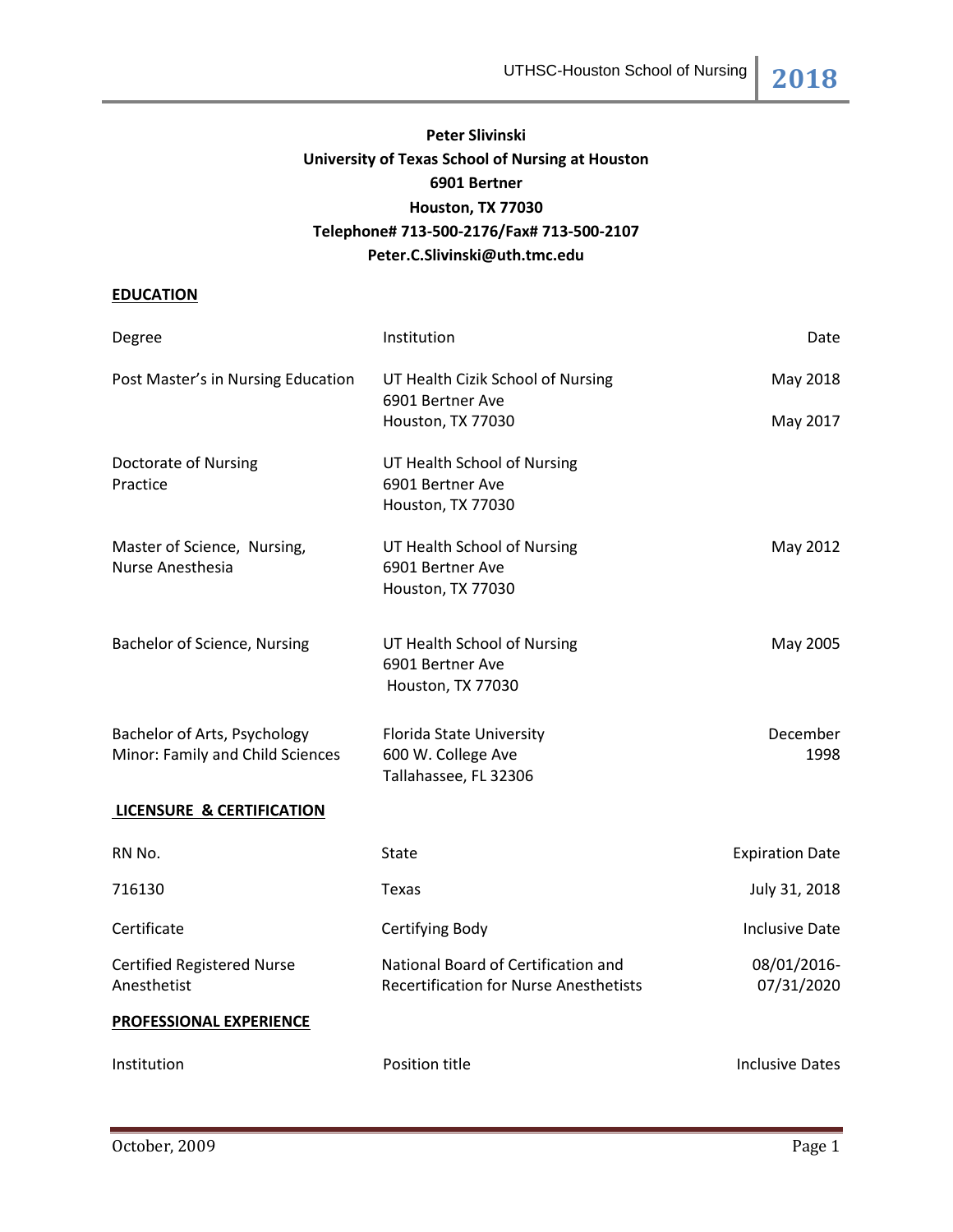# **Peter Slivinski University of Texas School of Nursing at Houston 6901 Bertner Houston, TX 77030 Telephone# 713-500-2176/Fax# 713-500-2107 Peter.C.Slivinski@uth.tmc.edu**

# **EDUCATION**

| Degree                                           | Institution                                                                          | Date                      |
|--------------------------------------------------|--------------------------------------------------------------------------------------|---------------------------|
| Post Master's in Nursing Education               | UT Health Cizik School of Nursing<br>6901 Bertner Ave                                | May 2018                  |
|                                                  | Houston, TX 77030                                                                    | May 2017                  |
| Doctorate of Nursing<br>Practice                 | UT Health School of Nursing<br>6901 Bertner Ave                                      |                           |
|                                                  | Houston, TX 77030                                                                    |                           |
| Master of Science, Nursing,<br>Nurse Anesthesia  | UT Health School of Nursing<br>6901 Bertner Ave                                      | May 2012                  |
|                                                  | Houston, TX 77030                                                                    |                           |
| Bachelor of Science, Nursing                     | UT Health School of Nursing<br>6901 Bertner Ave                                      | May 2005                  |
|                                                  | Houston, TX 77030                                                                    |                           |
| Bachelor of Arts, Psychology                     | Florida State University                                                             | December                  |
| Minor: Family and Child Sciences                 | 600 W. College Ave<br>Tallahassee, FL 32306                                          | 1998                      |
| <b>LICENSURE &amp; CERTIFICATION</b>             |                                                                                      |                           |
| RN No.                                           | State                                                                                | <b>Expiration Date</b>    |
| 716130                                           | Texas                                                                                | July 31, 2018             |
| Certificate                                      | Certifying Body                                                                      | <b>Inclusive Date</b>     |
| <b>Certified Registered Nurse</b><br>Anesthetist | National Board of Certification and<br><b>Recertification for Nurse Anesthetists</b> | 08/01/2016-<br>07/31/2020 |
| <b>PROFESSIONAL EXPERIENCE</b>                   |                                                                                      |                           |
| Institution                                      | Position title                                                                       | <b>Inclusive Dates</b>    |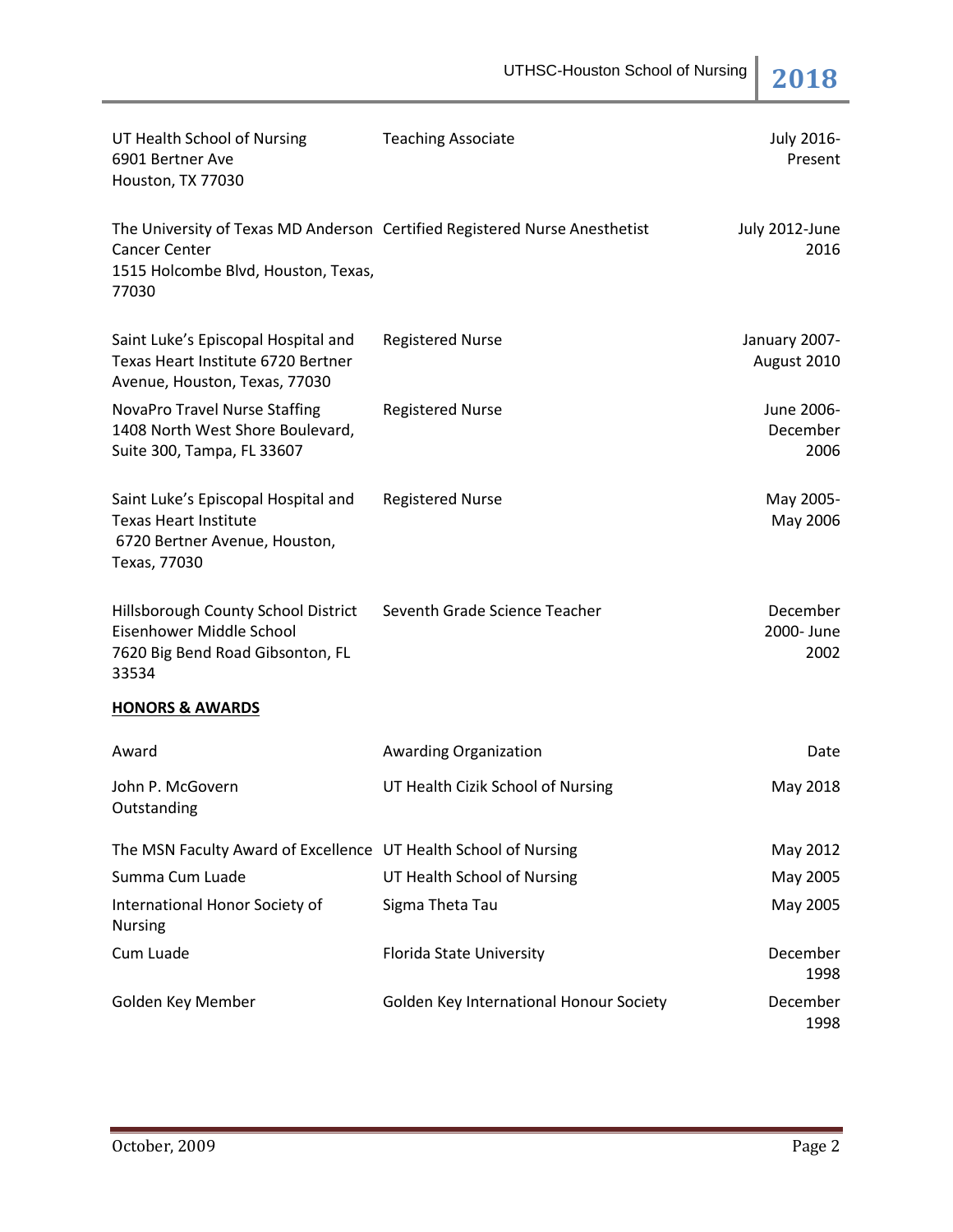| UT Health School of Nursing<br>6901 Bertner Ave<br>Houston, TX 77030                                                 | <b>Teaching Associate</b>                                                  | July 2016-<br>Present          |
|----------------------------------------------------------------------------------------------------------------------|----------------------------------------------------------------------------|--------------------------------|
| <b>Cancer Center</b><br>1515 Holcombe Blvd, Houston, Texas,<br>77030                                                 | The University of Texas MD Anderson Certified Registered Nurse Anesthetist | July 2012-June<br>2016         |
| Saint Luke's Episcopal Hospital and<br>Texas Heart Institute 6720 Bertner<br>Avenue, Houston, Texas, 77030           | <b>Registered Nurse</b>                                                    | January 2007-<br>August 2010   |
| <b>NovaPro Travel Nurse Staffing</b><br>1408 North West Shore Boulevard,<br>Suite 300, Tampa, FL 33607               | <b>Registered Nurse</b>                                                    | June 2006-<br>December<br>2006 |
| Saint Luke's Episcopal Hospital and<br><b>Texas Heart Institute</b><br>6720 Bertner Avenue, Houston,<br>Texas, 77030 | <b>Registered Nurse</b>                                                    | May 2005-<br>May 2006          |
| Hillsborough County School District<br>Eisenhower Middle School<br>7620 Big Bend Road Gibsonton, FL<br>33534         | Seventh Grade Science Teacher                                              | December<br>2000- June<br>2002 |
| <b>HONORS &amp; AWARDS</b>                                                                                           |                                                                            |                                |
| Award                                                                                                                | Awarding Organization                                                      | Date                           |
| John P. McGovern<br>Outstanding                                                                                      | UT Health Cizik School of Nursing                                          | May 2018                       |
| The MSN Faculty Award of Excellence UT Health School of Nursing                                                      |                                                                            | May 2012                       |
| Summa Cum Luade                                                                                                      | UT Health School of Nursing                                                | May 2005                       |
| International Honor Society of<br><b>Nursing</b>                                                                     | Sigma Theta Tau                                                            | May 2005                       |
| Cum Luade                                                                                                            | Florida State University                                                   | December<br>1998               |
| Golden Key Member                                                                                                    | Golden Key International Honour Society                                    | December<br>1998               |